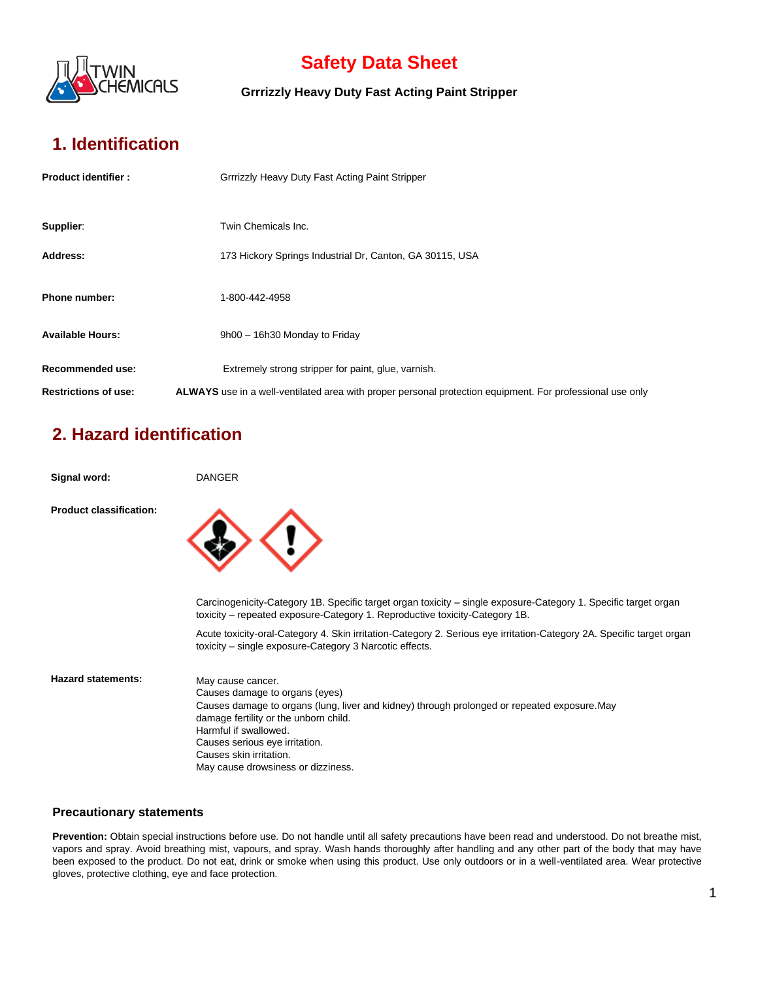

**Grrrizzly Heavy Duty Fast Acting Paint Stripper**

## **1. Identification**

| <b>Product identifier:</b>  | Grrrizzly Heavy Duty Fast Acting Paint Stripper                                                           |
|-----------------------------|-----------------------------------------------------------------------------------------------------------|
|                             |                                                                                                           |
| Supplier:                   | Twin Chemicals Inc.                                                                                       |
| Address:                    | 173 Hickory Springs Industrial Dr, Canton, GA 30115, USA                                                  |
| <b>Phone number:</b>        | 1-800-442-4958                                                                                            |
| <b>Available Hours:</b>     |                                                                                                           |
|                             | 9h00 - 16h30 Monday to Friday                                                                             |
| Recommended use:            | Extremely strong stripper for paint, glue, varnish.                                                       |
| <b>Restrictions of use:</b> | ALWAYS use in a well-ventilated area with proper personal protection equipment. For professional use only |

# **2. Hazard identification**

| Signal word:                   | <b>DANGER</b>                                                                                                                                                                                                                                                                                                            |
|--------------------------------|--------------------------------------------------------------------------------------------------------------------------------------------------------------------------------------------------------------------------------------------------------------------------------------------------------------------------|
| <b>Product classification:</b> |                                                                                                                                                                                                                                                                                                                          |
|                                | Carcinogenicity-Category 1B. Specific target organ toxicity – single exposure-Category 1. Specific target organ<br>toxicity – repeated exposure-Category 1. Reproductive toxicity-Category 1B.                                                                                                                           |
|                                | Acute toxicity-oral-Category 4. Skin irritation-Category 2. Serious eye irritation-Category 2A. Specific target organ<br>toxicity – single exposure-Category 3 Narcotic effects.                                                                                                                                         |
| <b>Hazard statements:</b>      | May cause cancer.<br>Causes damage to organs (eyes)<br>Causes damage to organs (lung, liver and kidney) through prolonged or repeated exposure. May<br>damage fertility or the unborn child.<br>Harmful if swallowed.<br>Causes serious eye irritation.<br>Causes skin irritation.<br>May cause drowsiness or dizziness. |

#### **Precautionary statements**

Prevention: Obtain special instructions before use. Do not handle until all safety precautions have been read and understood. Do not breathe mist, vapors and spray. Avoid breathing mist, vapours, and spray. Wash hands thoroughly after handling and any other part of the body that may have been exposed to the product. Do not eat, drink or smoke when using this product. Use only outdoors or in a well-ventilated area. Wear protective gloves, protective clothing, eye and face protection.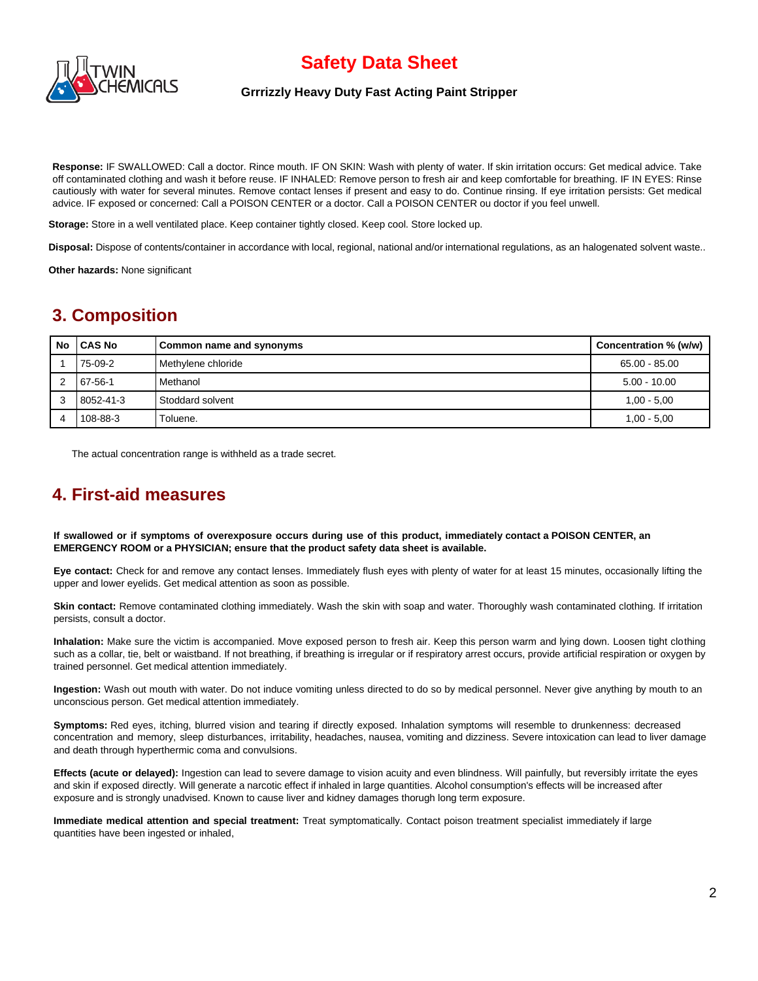

#### **Grrrizzly Heavy Duty Fast Acting Paint Stripper**

**Response:** IF SWALLOWED: Call a doctor. Rince mouth. IF ON SKIN: Wash with plenty of water. If skin irritation occurs: Get medical advice. Take off contaminated clothing and wash it before reuse. IF INHALED: Remove person to fresh air and keep comfortable for breathing. IF IN EYES: Rinse cautiously with water for several minutes. Remove contact lenses if present and easy to do. Continue rinsing. If eye irritation persists: Get medical advice. IF exposed or concerned: Call a POISON CENTER or a doctor. Call a POISON CENTER ou doctor if you feel unwell.

**Storage:** Store in a well ventilated place. Keep container tightly closed. Keep cool. Store locked up.

**Disposal:** Dispose of contents/container in accordance with local, regional, national and/or international regulations, as an halogenated solvent waste..

**Other hazards:** None significant

### **3. Composition**

| No | <b>ICAS No</b> | Common name and synonyms | Concentration % (w/w) |
|----|----------------|--------------------------|-----------------------|
|    | 75-09-2        | Methylene chloride       | 65.00 - 85.00         |
|    | 67-56-1        | Methanol                 | $5.00 - 10.00$        |
|    | 8052-41-3      | Stoddard solvent         | $1,00 - 5,00$         |
|    | 108-88-3       | Toluene.                 | $1,00 - 5,00$         |

The actual concentration range is withheld as a trade secret.

### **4. First-aid measures**

**If swallowed or if symptoms of overexposure occurs during use of this product, immediately contact a POISON CENTER, an EMERGENCY ROOM or a PHYSICIAN; ensure that the product safety data sheet is available.**

**Eye contact:** Check for and remove any contact lenses. Immediately flush eyes with plenty of water for at least 15 minutes, occasionally lifting the upper and lower eyelids. Get medical attention as soon as possible.

**Skin contact:** Remove contaminated clothing immediately. Wash the skin with soap and water. Thoroughly wash contaminated clothing. If irritation persists, consult a doctor.

**Inhalation:** Make sure the victim is accompanied. Move exposed person to fresh air. Keep this person warm and lying down. Loosen tight clothing such as a collar, tie, belt or waistband. If not breathing, if breathing is irregular or if respiratory arrest occurs, provide artificial respiration or oxygen by trained personnel. Get medical attention immediately.

**Ingestion:** Wash out mouth with water. Do not induce vomiting unless directed to do so by medical personnel. Never give anything by mouth to an unconscious person. Get medical attention immediately.

**Symptoms:** Red eyes, itching, blurred vision and tearing if directly exposed. Inhalation symptoms will resemble to drunkenness: decreased concentration and memory, sleep disturbances, irritability, headaches, nausea, vomiting and dizziness. Severe intoxication can lead to liver damage and death through hyperthermic coma and convulsions.

**Effects (acute or delayed):** Ingestion can lead to severe damage to vision acuity and even blindness. Will painfully, but reversibly irritate the eyes and skin if exposed directly. Will generate a narcotic effect if inhaled in large quantities. Alcohol consumption's effects will be increased after exposure and is strongly unadvised. Known to cause liver and kidney damages thorugh long term exposure.

**Immediate medical attention and special treatment:** Treat symptomatically. Contact poison treatment specialist immediately if large quantities have been ingested or inhaled,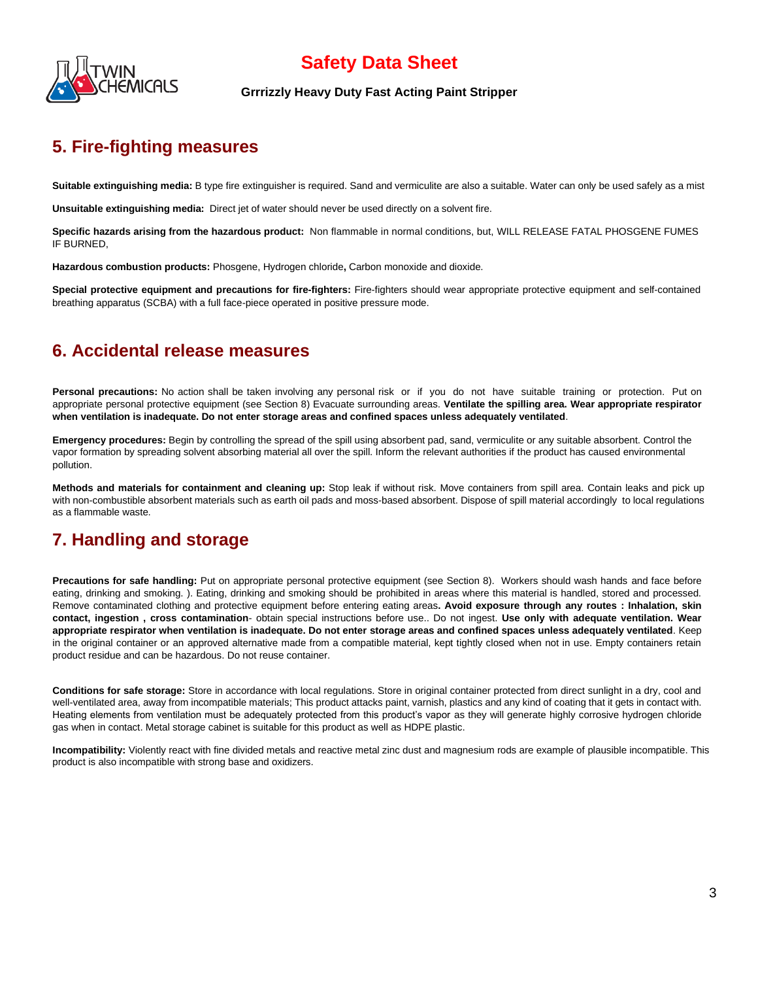

#### **Grrrizzly Heavy Duty Fast Acting Paint Stripper**

### **5. Fire-fighting measures**

**Suitable extinguishing media:** B type fire extinguisher is required. Sand and vermiculite are also a suitable. Water can only be used safely as a mist

**Unsuitable extinguishing media:** Direct jet of water should never be used directly on a solvent fire.

**Specific hazards arising from the hazardous product:** Non flammable in normal conditions, but, WILL RELEASE FATAL PHOSGENE FUMES IF BURNED,

**Hazardous combustion products:** Phosgene, Hydrogen chloride**,** Carbon monoxide and dioxide.

**Special protective equipment and precautions for fire-fighters:** Fire-fighters should wear appropriate protective equipment and self-contained breathing apparatus (SCBA) with a full face-piece operated in positive pressure mode.

### **6. Accidental release measures**

**Personal precautions:** No action shall be taken involving any personal risk or if you do not have suitable training or protection. Put on appropriate personal protective equipment (see Section 8) Evacuate surrounding areas. **Ventilate the spilling area. Wear appropriate respirator when ventilation is inadequate. Do not enter storage areas and confined spaces unless adequately ventilated**.

**Emergency procedures:** Begin by controlling the spread of the spill using absorbent pad, sand, vermiculite or any suitable absorbent. Control the vapor formation by spreading solvent absorbing material all over the spill. Inform the relevant authorities if the product has caused environmental pollution.

**Methods and materials for containment and cleaning up:** Stop leak if without risk. Move containers from spill area. Contain leaks and pick up with non-combustible absorbent materials such as earth oil pads and moss-based absorbent. Dispose of spill material accordingly to local regulations as a flammable waste.

## **7. Handling and storage**

**Precautions for safe handling:** Put on appropriate personal protective equipment (see Section 8). Workers should wash hands and face before eating, drinking and smoking. ). Eating, drinking and smoking should be prohibited in areas where this material is handled, stored and processed. Remove contaminated clothing and protective equipment before entering eating areas**. Avoid exposure through any routes : Inhalation, skin contact, ingestion , cross contamination**- obtain special instructions before use.. Do not ingest. **Use only with adequate ventilation. Wear appropriate respirator when ventilation is inadequate. Do not enter storage areas and confined spaces unless adequately ventilated**. Keep in the original container or an approved alternative made from a compatible material, kept tightly closed when not in use. Empty containers retain product residue and can be hazardous. Do not reuse container.

**Conditions for safe storage:** Store in accordance with local regulations. Store in original container protected from direct sunlight in a dry, cool and well-ventilated area, away from incompatible materials; This product attacks paint, varnish, plastics and any kind of coating that it gets in contact with. Heating elements from ventilation must be adequately protected from this product's vapor as they will generate highly corrosive hydrogen chloride gas when in contact. Metal storage cabinet is suitable for this product as well as HDPE plastic.

**Incompatibility:** Violently react with fine divided metals and reactive metal zinc dust and magnesium rods are example of plausible incompatible. This product is also incompatible with strong base and oxidizers.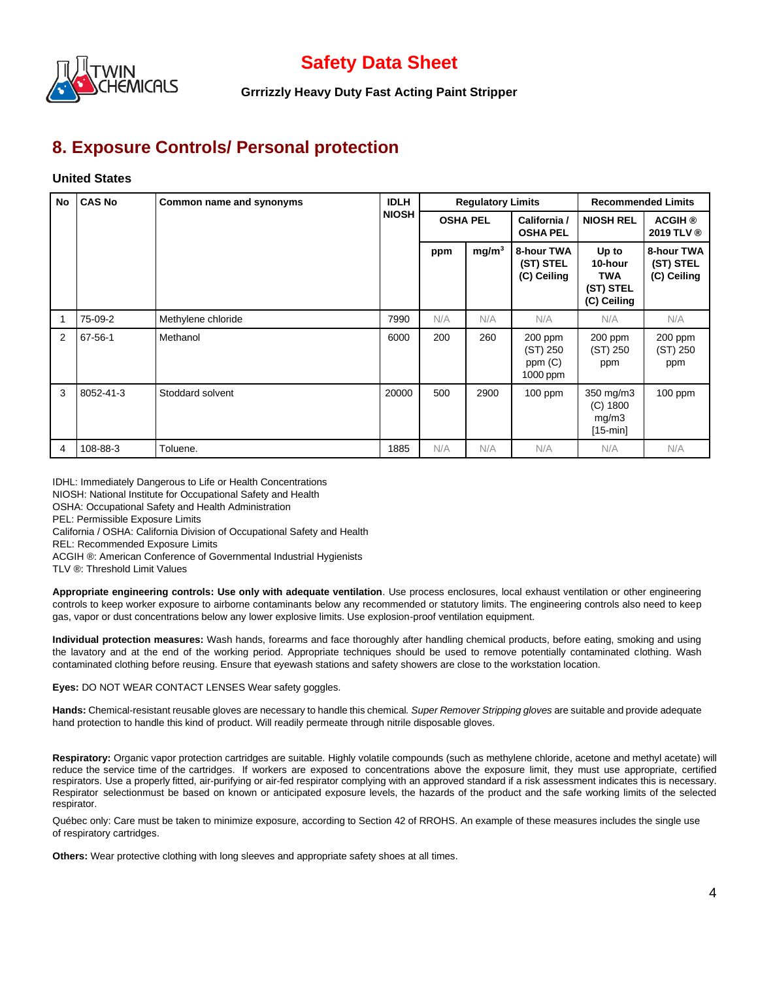

**Grrrizzly Heavy Duty Fast Acting Paint Stripper**

### **8. Exposure Controls/ Personal protection**

#### **United States**

| <b>No</b> | <b>CAS No</b> | Common name and synonyms | <b>IDLH</b>  | <b>Regulatory Limits</b> |                   |                                           | <b>Recommended Limits</b>                                  |                                        |
|-----------|---------------|--------------------------|--------------|--------------------------|-------------------|-------------------------------------------|------------------------------------------------------------|----------------------------------------|
|           |               |                          | <b>NIOSH</b> | <b>OSHA PEL</b>          |                   | California /<br><b>OSHA PEL</b>           | <b>NIOSH REL</b>                                           | <b>ACGIH ®</b><br>2019 TLV ®           |
|           |               |                          |              | ppm                      | mg/m <sup>3</sup> | 8-hour TWA<br>(ST) STEL<br>(C) Ceiling    | Up to<br>10-hour<br><b>TWA</b><br>(ST) STEL<br>(C) Ceiling | 8-hour TWA<br>(ST) STEL<br>(C) Ceiling |
|           | 75-09-2       | Methylene chloride       | 7990         | N/A                      | N/A               | N/A                                       | N/A                                                        | N/A                                    |
| 2         | 67-56-1       | Methanol                 | 6000         | 200                      | 260               | 200 ppm<br>(ST) 250<br>ppm(C)<br>1000 ppm | $200$ ppm<br>(ST) 250<br>ppm                               | 200 ppm<br>(ST) 250<br>ppm             |
| 3         | 8052-41-3     | Stoddard solvent         | 20000        | 500                      | 2900              | $100$ ppm                                 | 350 mg/m3<br>$(C)$ 1800<br>mg/m3<br>$[15-min]$             | $100$ ppm                              |
| 4         | 108-88-3      | Toluene.                 | 1885         | N/A                      | N/A               | N/A                                       | N/A                                                        | N/A                                    |

IDHL: Immediately Dangerous to Life or Health Concentrations

NIOSH: National Institute for Occupational Safety and Health

OSHA: Occupational Safety and Health Administration

PEL: Permissible Exposure Limits

California / OSHA: California Division of Occupational Safety and Health

REL: Recommended Exposure Limits

ACGIH ®: American Conference of Governmental Industrial Hygienists

TLV ®: Threshold Limit Values

**Appropriate engineering controls: Use only with adequate ventilation**. Use process enclosures, local exhaust ventilation or other engineering controls to keep worker exposure to airborne contaminants below any recommended or statutory limits. The engineering controls also need to keep gas, vapor or dust concentrations below any lower explosive limits. Use explosion-proof ventilation equipment.

**Individual protection measures:** Wash hands, forearms and face thoroughly after handling chemical products, before eating, smoking and using the lavatory and at the end of the working period. Appropriate techniques should be used to remove potentially contaminated clothing. Wash contaminated clothing before reusing. Ensure that eyewash stations and safety showers are close to the workstation location.

**Eyes:** DO NOT WEAR CONTACT LENSES Wear safety goggles.

**Hands:** Chemical-resistant reusable gloves are necessary to handle this chemical*. Super Remover Stripping gloves* are suitable and provide adequate hand protection to handle this kind of product. Will readily permeate through nitrile disposable gloves.

**Respiratory:** Organic vapor protection cartridges are suitable. Highly volatile compounds (such as methylene chloride, acetone and methyl acetate) will reduce the service time of the cartridges. If workers are exposed to concentrations above the exposure limit, they must use appropriate, certified respirators. Use a properly fitted, air-purifying or air-fed respirator complying with an approved standard if a risk assessment indicates this is necessary. Respirator selectionmust be based on known or anticipated exposure levels, the hazards of the product and the safe working limits of the selected respirator.

Québec only: Care must be taken to minimize exposure, according to Section 42 of RROHS. An example of these measures includes the single use of respiratory cartridges.

**Others:** Wear protective clothing with long sleeves and appropriate safety shoes at all times.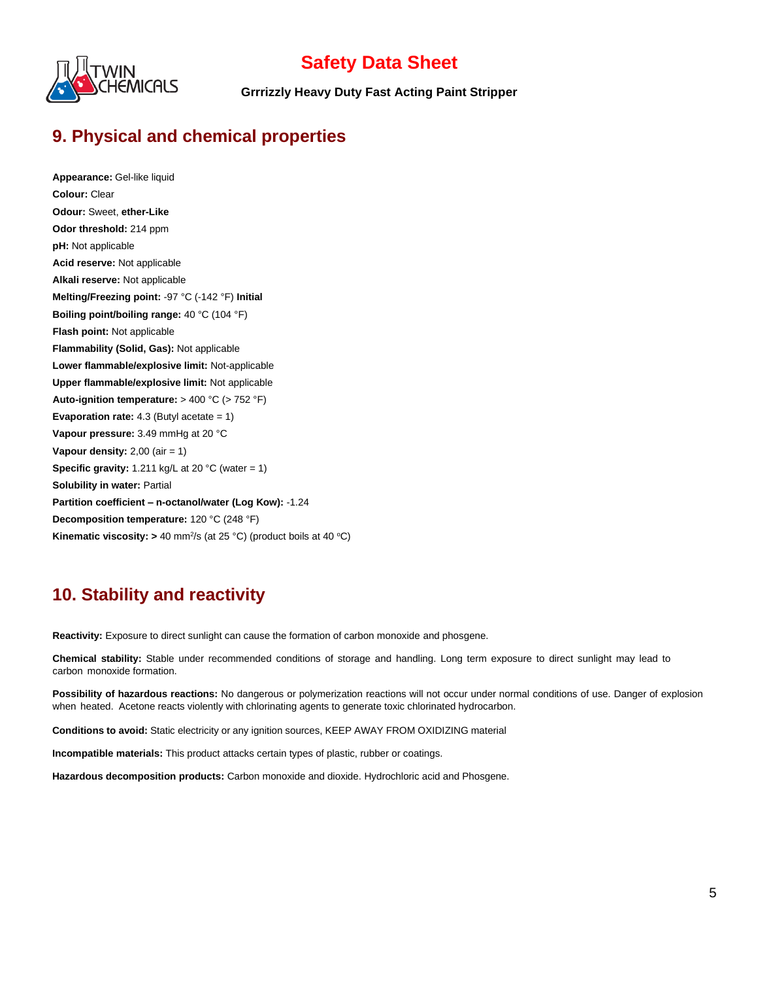

**Grrrizzly Heavy Duty Fast Acting Paint Stripper**

## **9. Physical and chemical properties**

**Appearance:** Gel-like liquid **Colour:** Clear **Odour:** Sweet, **ether-Like Odor threshold:** 214 ppm **pH:** Not applicable **Acid reserve:** Not applicable **Alkali reserve:** Not applicable **Melting/Freezing point:** -97 °C (-142 °F) **Initial Boiling point/boiling range:** 40 °C (104 °F) **Flash point:** Not applicable **Flammability (Solid, Gas):** Not applicable **Lower flammable/explosive limit:** Not-applicable **Upper flammable/explosive limit:** Not applicable **Auto-ignition temperature:** > 400 °C (> 752 °F) **Evaporation rate:** 4.3 (Butyl acetate = 1) **Vapour pressure:** 3.49 mmHg at 20 °C **Vapour density: 2,00 (air = 1) Specific gravity:** 1.211 kg/L at 20 °C (water = 1) **Solubility in water: Partial Partition coefficient – n-octanol/water (Log Kow):** -1.24 **Decomposition temperature:** 120 °C (248 °F) **Kinematic viscosity:**  $> 40$  mm<sup>2</sup>/s (at 25 °C) (product boils at 40 °C)

## **10. Stability and reactivity**

**Reactivity:** Exposure to direct sunlight can cause the formation of carbon monoxide and phosgene.

**Chemical stability:** Stable under recommended conditions of storage and handling. Long term exposure to direct sunlight may lead to carbon monoxide formation.

**Possibility of hazardous reactions:** No dangerous or polymerization reactions will not occur under normal conditions of use. Danger of explosion when heated. Acetone reacts violently with chlorinating agents to generate toxic chlorinated hydrocarbon.

**Conditions to avoid:** Static electricity or any ignition sources, KEEP AWAY FROM OXIDIZING material

**Incompatible materials:** This product attacks certain types of plastic, rubber or coatings.

**Hazardous decomposition products:** Carbon monoxide and dioxide. Hydrochloric acid and Phosgene.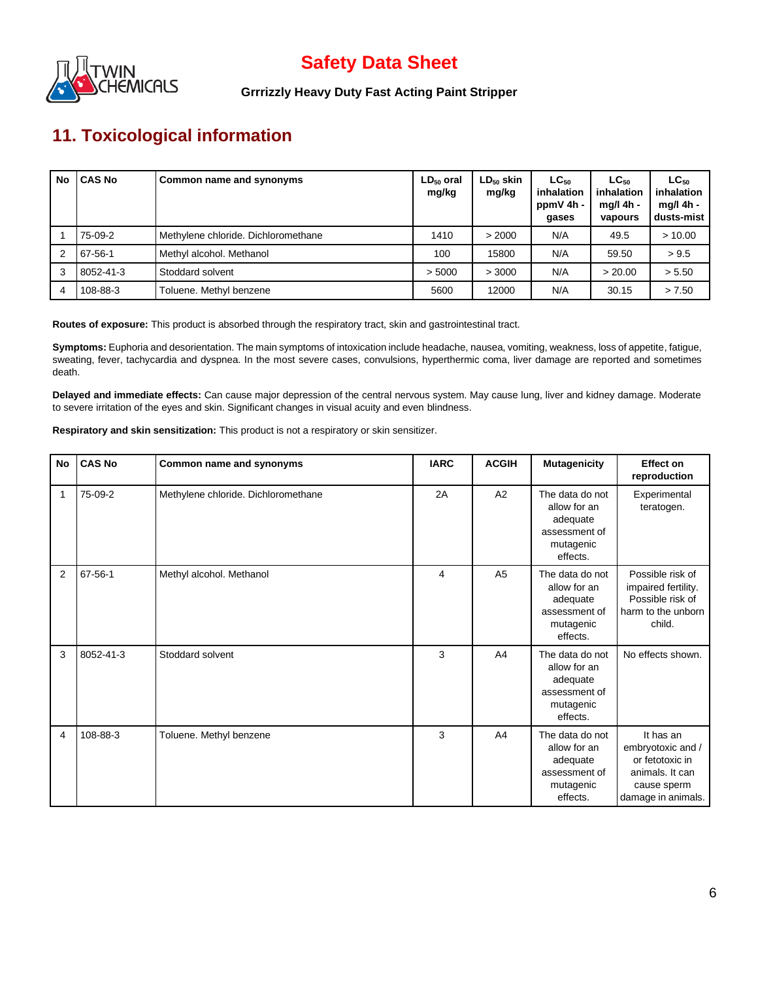

**Grrrizzly Heavy Duty Fast Acting Paint Stripper**

# **11. Toxicological information**

| No | <b>CAS No</b> | Common name and synonyms            | $LD_{50}$ oral<br>mg/kg | $LD_{50}$ skin<br>mg/kg | $LC_{50}$<br>inhalation<br>ppmV 4h -<br>gases | $LC_{50}$<br>inhalation<br>mg/l 4h -<br>vapours | $LC_{50}$<br>inhalation<br>$mq/l$ 4h -<br>dusts-mist |
|----|---------------|-------------------------------------|-------------------------|-------------------------|-----------------------------------------------|-------------------------------------------------|------------------------------------------------------|
|    | 75-09-2       | Methylene chloride. Dichloromethane | 1410                    | > 2000                  | N/A                                           | 49.5                                            | >10.00                                               |
| 2  | 67-56-1       | Methyl alcohol. Methanol            | 100                     | 15800                   | N/A                                           | 59.50                                           | > 9.5                                                |
| 3  | 8052-41-3     | Stoddard solvent                    | > 5000                  | > 3000                  | N/A                                           | > 20.00                                         | > 5.50                                               |
| 4  | 108-88-3      | Toluene. Methyl benzene             | 5600                    | 12000                   | N/A                                           | 30.15                                           | > 7.50                                               |

**Routes of exposure:** This product is absorbed through the respiratory tract, skin and gastrointestinal tract.

**Symptoms:** Euphoria and desorientation. The main symptoms of intoxication include headache, nausea, vomiting, weakness, loss of appetite, fatigue, sweating, fever, tachycardia and dyspnea. In the most severe cases, convulsions, hyperthermic coma, liver damage are reported and sometimes death.

**Delayed and immediate effects:** Can cause major depression of the central nervous system. May cause lung, liver and kidney damage. Moderate to severe irritation of the eyes and skin. Significant changes in visual acuity and even blindness.

**Respiratory and skin sensitization:** This product is not a respiratory or skin sensitizer.

| No             | <b>CAS No</b> | Common name and synonyms            | <b>IARC</b> | <b>ACGIH</b>   | <b>Mutagenicity</b>                                                                   | <b>Effect on</b><br>reproduction                                                                          |
|----------------|---------------|-------------------------------------|-------------|----------------|---------------------------------------------------------------------------------------|-----------------------------------------------------------------------------------------------------------|
| 1              | 75-09-2       | Methylene chloride. Dichloromethane | 2A          | A2             | The data do not<br>allow for an<br>adequate<br>assessment of<br>mutagenic<br>effects. | Experimental<br>teratogen.                                                                                |
| $\overline{2}$ | 67-56-1       | Methyl alcohol. Methanol            | 4           | A <sub>5</sub> | The data do not<br>allow for an<br>adequate<br>assessment of<br>mutagenic<br>effects. | Possible risk of<br>impaired fertility.<br>Possible risk of<br>harm to the unborn<br>child.               |
| 3              | 8052-41-3     | Stoddard solvent                    | 3           | A4             | The data do not<br>allow for an<br>adequate<br>assessment of<br>mutagenic<br>effects. | No effects shown.                                                                                         |
| 4              | 108-88-3      | Toluene. Methyl benzene             | 3           | A4             | The data do not<br>allow for an<br>adequate<br>assessment of<br>mutagenic<br>effects. | It has an<br>embryotoxic and /<br>or fetotoxic in<br>animals. It can<br>cause sperm<br>damage in animals. |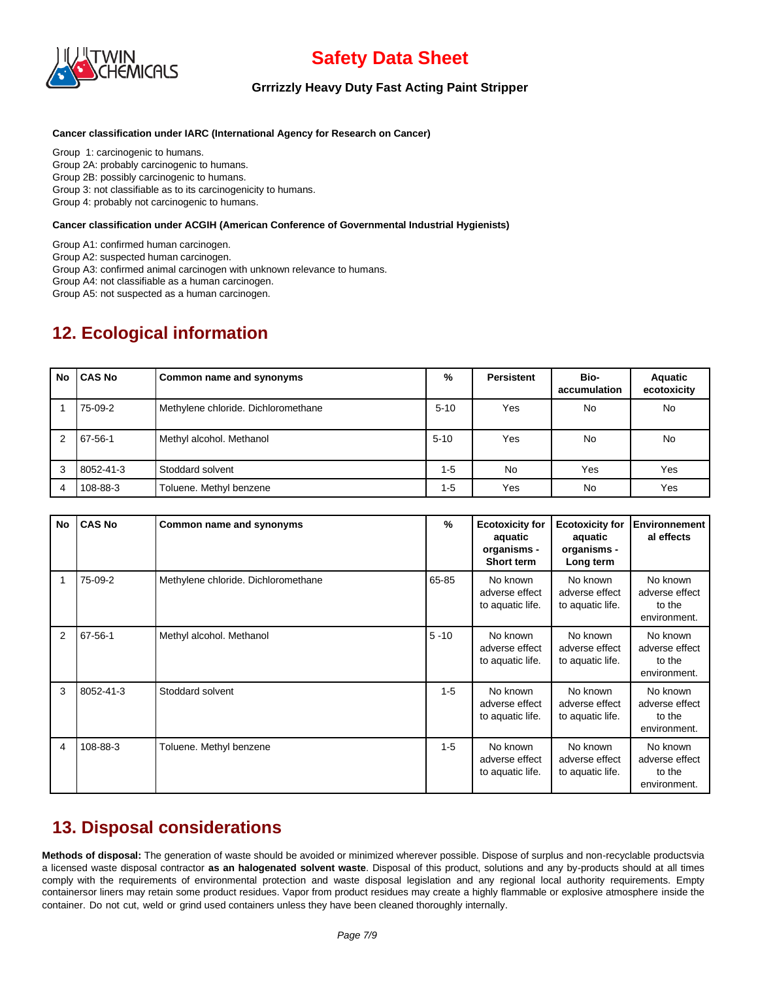

#### **Grrrizzly Heavy Duty Fast Acting Paint Stripper**

#### **Cancer classification under IARC (International Agency for Research on Cancer)**

Group 1: carcinogenic to humans. Group 2A: probably carcinogenic to humans. Group 2B: possibly carcinogenic to humans. Group 3: not classifiable as to its carcinogenicity to humans.

Group 4: probably not carcinogenic to humans.

#### **Cancer classification under ACGIH (American Conference of Governmental Industrial Hygienists)**

Group A1: confirmed human carcinogen.

Group A2: suspected human carcinogen.

Group A3: confirmed animal carcinogen with unknown relevance to humans.

Group A4: not classifiable as a human carcinogen.

Group A5: not suspected as a human carcinogen.

## **12. Ecological information**

| No | <b>CAS No</b> | Common name and synonyms            | %        | <b>Persistent</b> | Bio-<br>accumulation | <b>Aquatic</b><br>ecotoxicity |
|----|---------------|-------------------------------------|----------|-------------------|----------------------|-------------------------------|
|    | 75-09-2       | Methylene chloride. Dichloromethane | $5 - 10$ | Yes               | No.                  | No                            |
| 2  | 67-56-1       | Methyl alcohol. Methanol            | $5 - 10$ | Yes               | N <sub>o</sub>       | No                            |
| 3  | 8052-41-3     | Stoddard solvent                    | $1-5$    | <b>No</b>         | Yes                  | Yes                           |
| 4  | 108-88-3      | Toluene. Methyl benzene             | $1 - 5$  | Yes               | No                   | Yes                           |

| No | <b>CAS No</b> | Common name and synonyms            | %        | <b>Ecotoxicity for</b><br>aquatic<br>organisms -<br>Short term | <b>Ecotoxicity for</b><br>aquatic<br>organisms -<br>Long term | <b>Environnement</b><br>al effects                   |
|----|---------------|-------------------------------------|----------|----------------------------------------------------------------|---------------------------------------------------------------|------------------------------------------------------|
|    | 75-09-2       | Methylene chloride. Dichloromethane | 65-85    | No known<br>adverse effect<br>to aquatic life.                 | No known<br>adverse effect<br>to aquatic life.                | No known<br>adverse effect<br>to the<br>environment. |
| 2  | 67-56-1       | Methyl alcohol. Methanol            | $5 - 10$ | No known<br>adverse effect<br>to aquatic life.                 | No known<br>adverse effect<br>to aquatic life.                | No known<br>adverse effect<br>to the<br>environment. |
| 3  | 8052-41-3     | Stoddard solvent                    | $1 - 5$  | No known<br>adverse effect<br>to aquatic life.                 | No known<br>adverse effect<br>to aquatic life.                | No known<br>adverse effect<br>to the<br>environment. |
| 4  | 108-88-3      | Toluene. Methyl benzene             | $1 - 5$  | No known<br>adverse effect<br>to aquatic life.                 | No known<br>adverse effect<br>to aquatic life.                | No known<br>adverse effect<br>to the<br>environment. |

### **13. Disposal considerations**

**Methods of disposal:** The generation of waste should be avoided or minimized wherever possible. Dispose of surplus and non-recyclable productsvia a licensed waste disposal contractor **as an halogenated solvent waste**. Disposal of this product, solutions and any by-products should at all times comply with the requirements of environmental protection and waste disposal legislation and any regional local authority requirements. Empty containersor liners may retain some product residues. Vapor from product residues may create a highly flammable or explosive atmosphere inside the container. Do not cut, weld or grind used containers unless they have been cleaned thoroughly internally.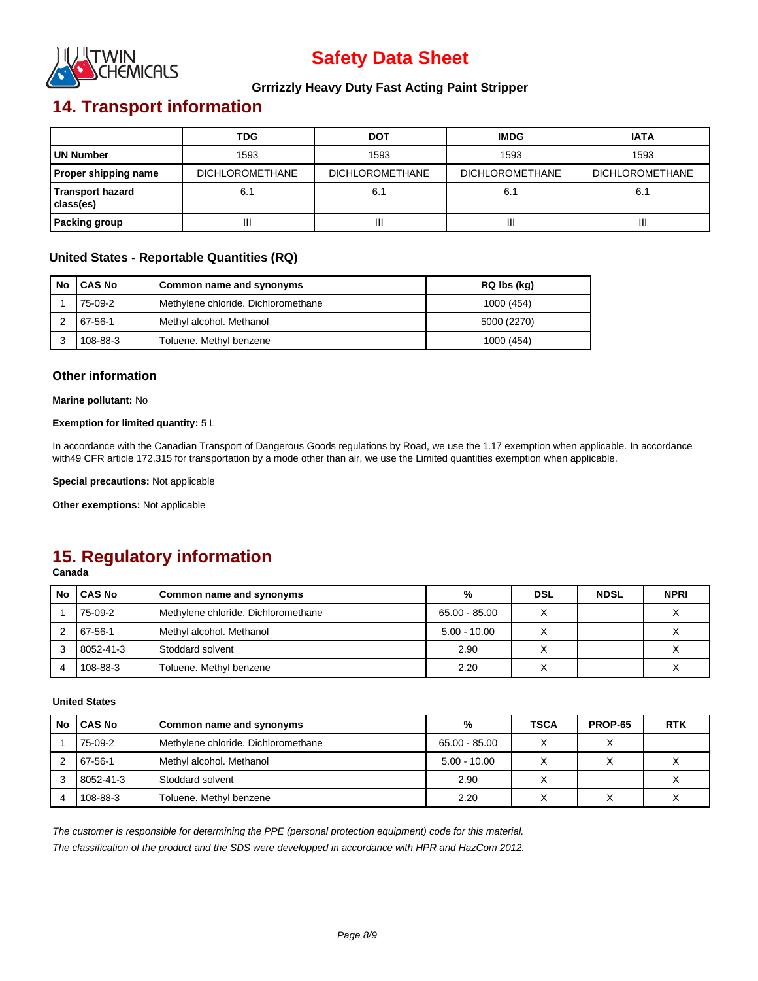

#### **Grrrizzly Heavy Duty Fast Acting Paint Stripper**

# **14. Transport information**

|                                      | <b>TDG</b>             | <b>DOT</b>             | <b>IMDG</b>            | <b>IATA</b>            |
|--------------------------------------|------------------------|------------------------|------------------------|------------------------|
| UN Number                            | 1593                   | 1593                   | 1593                   | 1593                   |
| <b>Proper shipping name</b>          | <b>DICHLOROMETHANE</b> | <b>DICHLOROMETHANE</b> | <b>DICHLOROMETHANE</b> | <b>DICHLOROMETHANE</b> |
| <b>Transport hazard</b><br>class(es) | 6.1                    | 6.1                    |                        | 6.1                    |
| <b>Packing group</b>                 | Ш                      | Ш                      | Ш                      | Ш                      |

#### **United States - Reportable Quantities (RQ)**

| No | <b>CAS No</b> | Common name and synonyms            | RQ lbs (kg) |
|----|---------------|-------------------------------------|-------------|
|    | 75-09-2       | Methylene chloride. Dichloromethane | 1000 (454)  |
|    | 67-56-1       | Methyl alcohol. Methanol            | 5000 (2270) |
|    | 108-88-3      | Toluene. Methyl benzene             | 1000 (454)  |

#### **Other information**

**Marine pollutant:** No

#### **Exemption for limited quantity:** 5 L

In accordance with the Canadian Transport of Dangerous Goods regulations by Road, we use the 1.17 exemption when applicable. In accordance with49 CFR article 172.315 for transportation by a mode other than air, we use the Limited quantities exemption when applicable.

**Special precautions:** Not applicable

**Other exemptions:** Not applicable

## **15. Regulatory information**

**Canada**

| No | <b>CAS No</b> | Common name and synonyms            | %              | <b>DSL</b> | <b>NDSL</b> | <b>NPRI</b> |
|----|---------------|-------------------------------------|----------------|------------|-------------|-------------|
|    | 75-09-2       | Methylene chloride. Dichloromethane | 65.00 - 85.00  |            |             |             |
|    | 67-56-1       | Methyl alcohol. Methanol            | $5.00 - 10.00$ |            |             |             |
|    | 8052-41-3     | Stoddard solvent                    | 2.90           |            |             |             |
|    | 108-88-3      | Toluene. Methyl benzene             | 2.20           |            |             |             |

#### **United States**

| No. | <b>ICAS No</b> | Common name and synonyms            | %              | <b>TSCA</b>  | <b>PROP-65</b> | <b>RTK</b> |
|-----|----------------|-------------------------------------|----------------|--------------|----------------|------------|
|     | 75-09-2        | Methylene chloride. Dichloromethane | 65.00 - 85.00  | $\checkmark$ |                |            |
|     | 67-56-1        | Methyl alcohol. Methanol            | $5.00 - 10.00$ |              |                |            |
| 3   | 8052-41-3      | Stoddard solvent                    | 2.90           |              |                |            |
|     | 108-88-3       | Toluene. Methyl benzene             | 2.20           |              |                |            |

*The customer is responsible for determining the PPE (personal protection equipment) code for this material.*

*The classification of the product and the SDS were developped in accordance with HPR and HazCom 2012.*